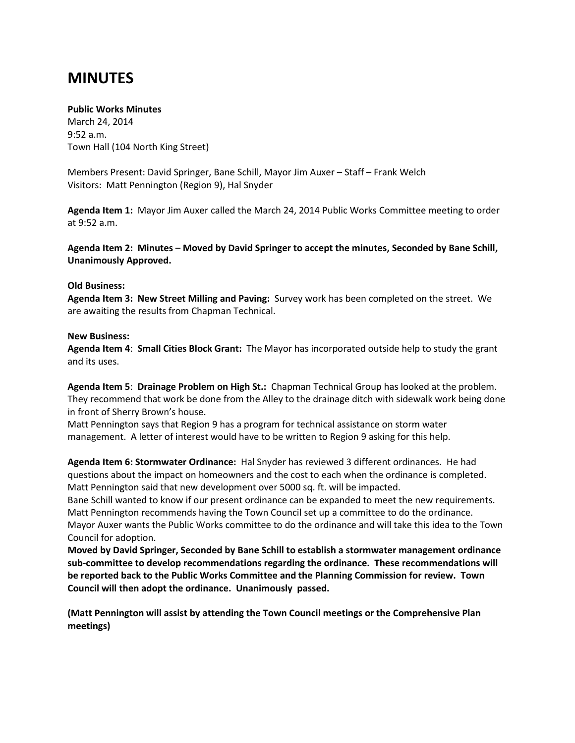## **MINUTES**

## **Public Works Minutes**

March 24, 2014 9:52 a.m. Town Hall (104 North King Street)

Members Present: David Springer, Bane Schill, Mayor Jim Auxer – Staff – Frank Welch Visitors: Matt Pennington (Region 9), Hal Snyder

**Agenda Item 1:** Mayor Jim Auxer called the March 24, 2014 Public Works Committee meeting to order at 9:52 a.m.

**Agenda Item 2: Minutes** – **Moved by David Springer to accept the minutes, Seconded by Bane Schill, Unanimously Approved.**

## **Old Business:**

**Agenda Item 3: New Street Milling and Paving:** Survey work has been completed on the street. We are awaiting the results from Chapman Technical.

## **New Business:**

**Agenda Item 4**: **Small Cities Block Grant:** The Mayor has incorporated outside help to study the grant and its uses.

**Agenda Item 5**: **Drainage Problem on High St.:** Chapman Technical Group has looked at the problem. They recommend that work be done from the Alley to the drainage ditch with sidewalk work being done in front of Sherry Brown's house.

Matt Pennington says that Region 9 has a program for technical assistance on storm water management. A letter of interest would have to be written to Region 9 asking for this help.

**Agenda Item 6: Stormwater Ordinance:** Hal Snyder has reviewed 3 different ordinances. He had questions about the impact on homeowners and the cost to each when the ordinance is completed. Matt Pennington said that new development over 5000 sq. ft. will be impacted.

Bane Schill wanted to know if our present ordinance can be expanded to meet the new requirements. Matt Pennington recommends having the Town Council set up a committee to do the ordinance. Mayor Auxer wants the Public Works committee to do the ordinance and will take this idea to the Town Council for adoption.

**Moved by David Springer, Seconded by Bane Schill to establish a stormwater management ordinance sub-committee to develop recommendations regarding the ordinance. These recommendations will be reported back to the Public Works Committee and the Planning Commission for review. Town Council will then adopt the ordinance. Unanimously passed.**

**(Matt Pennington will assist by attending the Town Council meetings or the Comprehensive Plan meetings)**